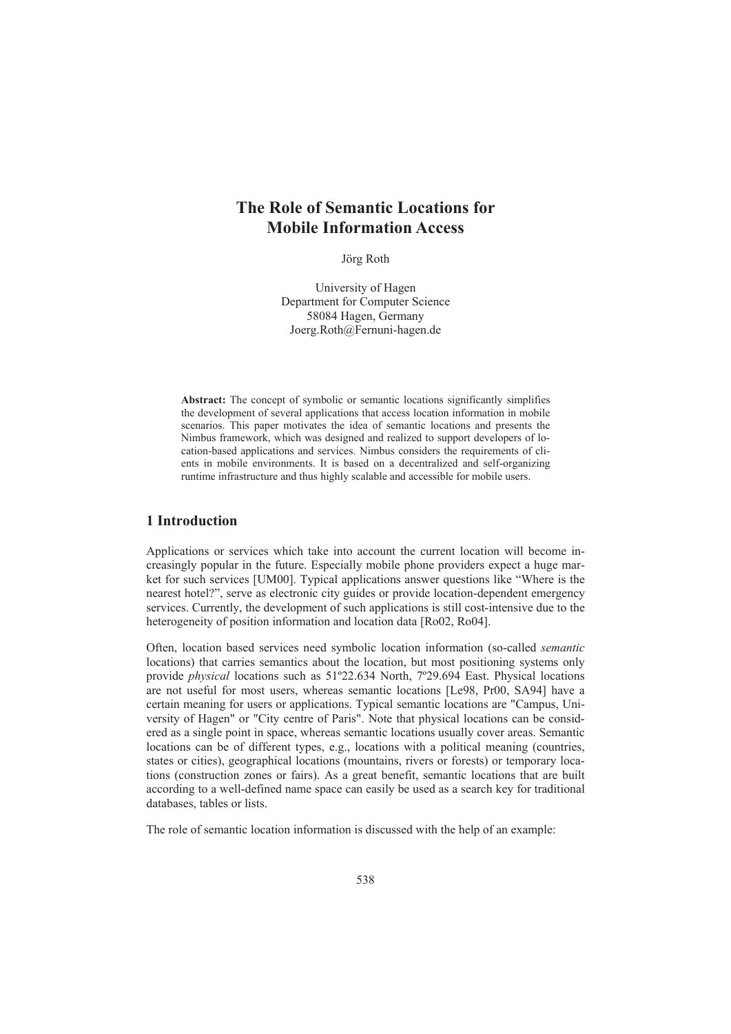# **The Role of Semantic Locations for Mobile Information Access**

Jörg Roth

University of Hagen Department for Computer Science 58084 Hagen, Germany Joerg.Roth@Fernuni-hagen.de

Abstract: The concept of symbolic or semantic locations significantly simplifies the development of several applications that access location information in mobile scenarios. This paper motivates the idea of semantic locations and presents the Nimbus framework, which was designed and realized to support developers of location-based applications and services. Nimbus considers the requirements of clients in mobile environments. It is based on a decentralized and self-organizing runtime infrastructure and thus highly scalable and accessible for mobile users.

### **1 Introduction**

Applications or services which take into account the current location will become increasingly popular in the future. Especially mobile phone providers expect a huge market for such services [UM00]. Typical applications answer questions like "Where is the nearest hotel?", serve as electronic city guides or provide location-dependent emergency services. Currently, the development of such applications is still cost-intensive due to the heterogeneity of position information and location data [Ro02, Ro04].

Often, location based services need symbolic location information (so-called *semantic* locations) that carries semantics about the location, but most positioning systems only provide *physical* locations such as 51º22.634 North, 7º29.694 East. Physical locations are not useful for most users, whereas semantic locations [Le98, Pr00, SA94] have a certain meaning for users or applications. Typical semantic locations are "Campus, University of Hagen" or "City centre of Paris". Note that physical locations can be considered as a single point in space, whereas semantic locations usually cover areas. Semantic locations can be of different types, e.g., locations with a political meaning (countries, states or cities), geographical locations (mountains, rivers or forests) or temporary locations (construction zones or fairs). As a great benefit, semantic locations that are built according to a well-defined name space can easily be used as a search key for traditional databases, tables or lists.

The role of semantic location information is discussed with the help of an example: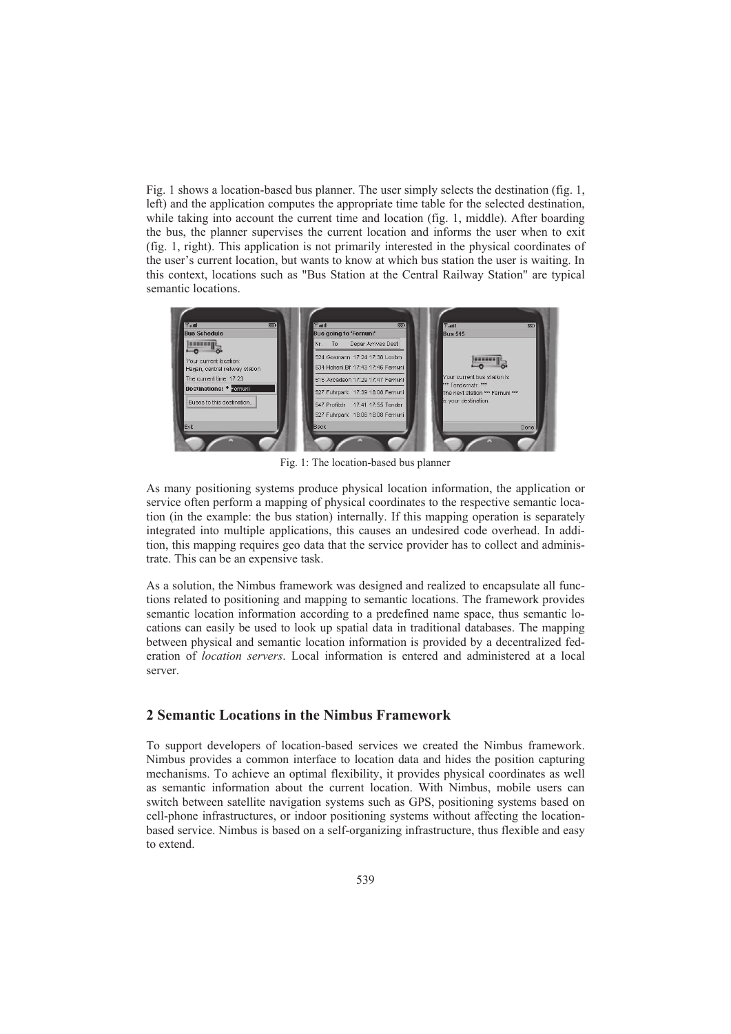Fig. 1 shows a location-based bus planner. The user simply selects the destination (fig. 1, left) and the application computes the appropriate time table for the selected destination, while taking into account the current time and location (fig. 1, middle). After boarding the bus, the planner supervises the current location and informs the user when to exit (fig. 1, right). This application is not primarily interested in the physical coordinates of the user's current location, but wants to know at which bus station the user is waiting. In this context, locations such as "Bus Station at the Central Railway Station" are typical semantic locations.

| <b>Bus Schedule</b>            | <b>Bus going to 'Fernuni'</b>     | <b>Bus 515</b>                                          |
|--------------------------------|-----------------------------------|---------------------------------------------------------|
|                                | Depar Arrives Dest<br>Nr. To      |                                                         |
| Your current location:         | 524 Gosmann 17:24 17:38 Loxbm     |                                                         |
| Hagen, central railway station | 534 Hohenl.Bf 17:43 17:46 Fernuni |                                                         |
| The current time: 17:23        | 515 Arcadeon 17:29 17:47 Fernuni  | Your current bus station is                             |
| Destinations: * Fernuni        | 527 Fuhrpark 17:39 18:08 Fernuni  | *** Tondernstr. ***<br>The next station *** Fernuni *** |
| Buses to this destination      | 547 Profilstr 17:41 17:55 Tonder  | is your destination.                                    |
|                                | 527 Fuhrpark 18:06 18:08 Fernuni  |                                                         |
| Exit                           | Back                              | Done                                                    |

Fig. 1: The location-based bus planner

As many positioning systems produce physical location information, the application or service often perform a mapping of physical coordinates to the respective semantic location (in the example: the bus station) internally. If this mapping operation is separately integrated into multiple applications, this causes an undesired code overhead. In addition, this mapping requires geo data that the service provider has to collect and administrate. This can be an expensive task.

As a solution, the Nimbus framework was designed and realized to encapsulate all functions related to positioning and mapping to semantic locations. The framework provides semantic location information according to a predefined name space, thus semantic locations can easily be used to look up spatial data in traditional databases. The mapping between physical and semantic location information is provided by a decentralized federation of *location servers*. Local information is entered and administered at a local server.

## **2 Semantic Locations in the Nimbus Framework**

To support developers of location-based services we created the Nimbus framework. Nimbus provides a common interface to location data and hides the position capturing mechanisms. To achieve an optimal flexibility, it provides physical coordinates as well as semantic information about the current location. With Nimbus, mobile users can switch between satellite navigation systems such as GPS, positioning systems based on cell-phone infrastructures, or indoor positioning systems without affecting the locationbased service. Nimbus is based on a self-organizing infrastructure, thus flexible and easy to extend.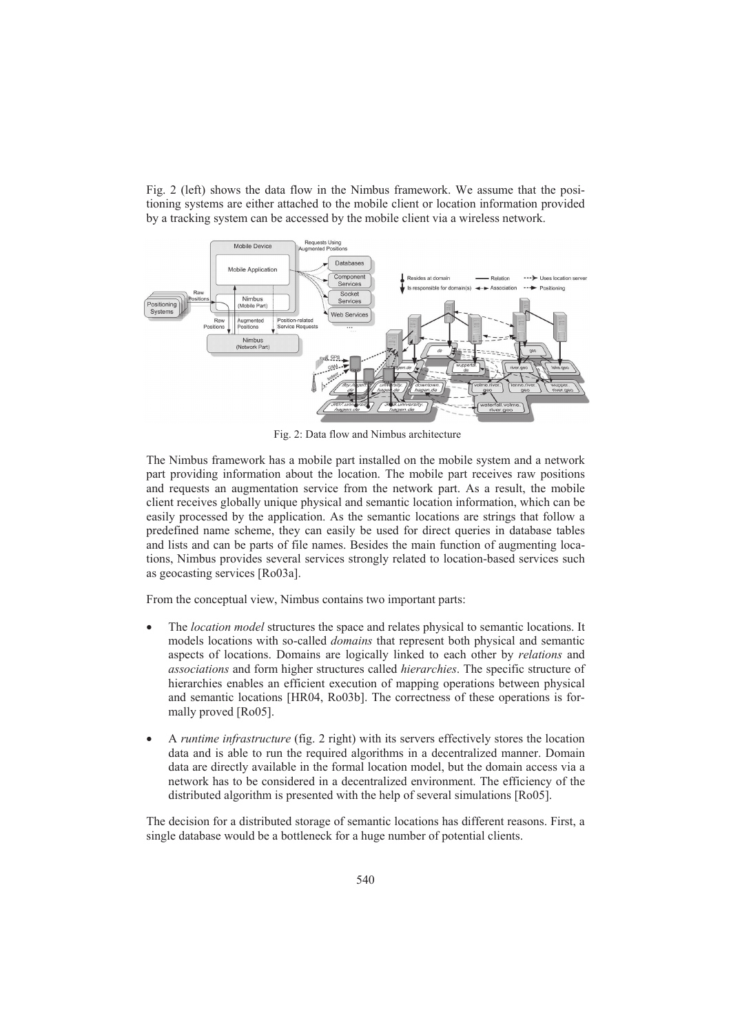Fig. 2 (left) shows the data flow in the Nimbus framework. We assume that the positioning systems are either attached to the mobile client or location information provided by a tracking system can be accessed by the mobile client via a wireless network.



Fig. 2: Data flow and Nimbus architecture

The Nimbus framework has a mobile part installed on the mobile system and a network part providing information about the location. The mobile part receives raw positions and requests an augmentation service from the network part. As a result, the mobile client receives globally unique physical and semantic location information, which can be easily processed by the application. As the semantic locations are strings that follow a predefined name scheme, they can easily be used for direct queries in database tables and lists and can be parts of file names. Besides the main function of augmenting locations, Nimbus provides several services strongly related to location-based services such as geocasting services [Ro03a].

From the conceptual view, Nimbus contains two important parts:

- x The *location model* structures the space and relates physical to semantic locations. It models locations with so-called *domains* that represent both physical and semantic aspects of locations. Domains are logically linked to each other by *relations* and *associations* and form higher structures called *hierarchies*. The specific structure of hierarchies enables an efficient execution of mapping operations between physical and semantic locations [HR04, Ro03b]. The correctness of these operations is formally proved [Ro05].
- x A *runtime infrastructure* (fig. 2 right) with its servers effectively stores the location data and is able to run the required algorithms in a decentralized manner. Domain data are directly available in the formal location model, but the domain access via a network has to be considered in a decentralized environment. The efficiency of the distributed algorithm is presented with the help of several simulations [Ro05].

The decision for a distributed storage of semantic locations has different reasons. First, a single database would be a bottleneck for a huge number of potential clients.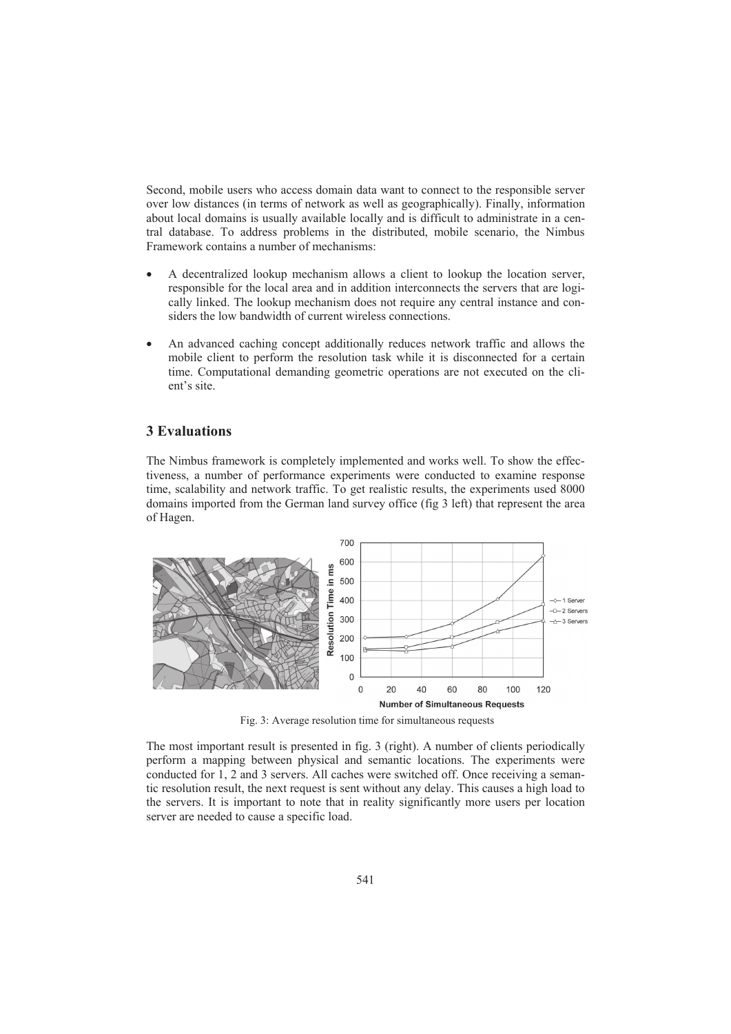Second, mobile users who access domain data want to connect to the responsible server over low distances (in terms of network as well as geographically). Finally, information about local domains is usually available locally and is difficult to administrate in a central database. To address problems in the distributed, mobile scenario, the Nimbus Framework contains a number of mechanisms:

- A decentralized lookup mechanism allows a client to lookup the location server, responsible for the local area and in addition interconnects the servers that are logically linked. The lookup mechanism does not require any central instance and considers the low bandwidth of current wireless connections.
- An advanced caching concept additionally reduces network traffic and allows the mobile client to perform the resolution task while it is disconnected for a certain time. Computational demanding geometric operations are not executed on the client's site.

#### **3 Evaluations**

The Nimbus framework is completely implemented and works well. To show the effectiveness, a number of performance experiments were conducted to examine response time, scalability and network traffic. To get realistic results, the experiments used 8000 domains imported from the German land survey office (fig 3 left) that represent the area of Hagen.



Fig. 3: Average resolution time for simultaneous requests

The most important result is presented in fig. 3 (right). A number of clients periodically perform a mapping between physical and semantic locations. The experiments were conducted for 1, 2 and 3 servers. All caches were switched off. Once receiving a semantic resolution result, the next request is sent without any delay. This causes a high load to the servers. It is important to note that in reality significantly more users per location server are needed to cause a specific load.